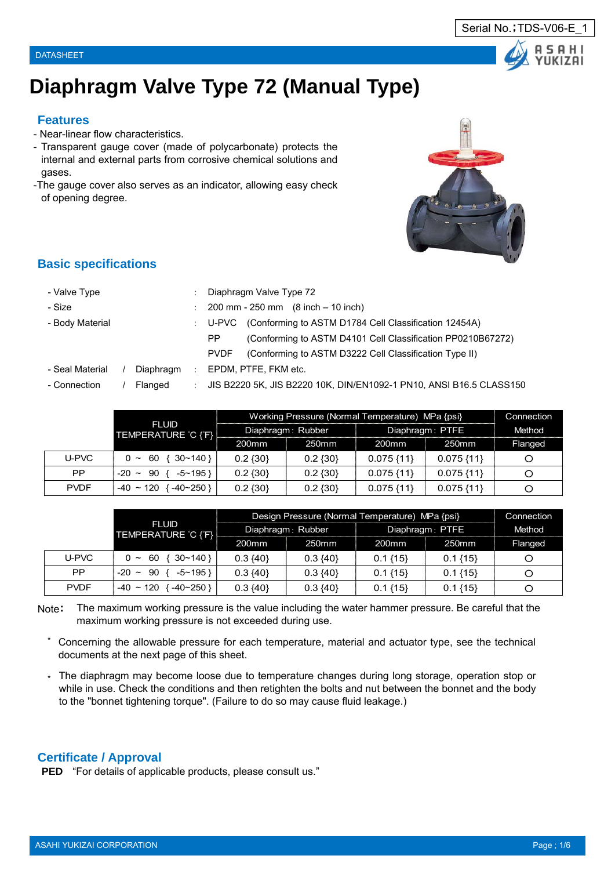



# **Diaphragm Valve Type 72 (Manual Type)**

### **Features**

- Near-linear flow characteristics.
- Transparent gauge cover (made of polycarbonate) protects the internal and external parts from corrosive chemical solutions and gases.
- -The gauge cover also serves as an indicator, allowing easy check of opening degree.



## **Basic specifications**

| - Valve Type    |           | Diaphragm Valve Type 72                                                |
|-----------------|-----------|------------------------------------------------------------------------|
| - Size          |           | $200 \text{ mm} - 250 \text{ mm}$ $(8 \text{ inch} - 10 \text{ inch})$ |
| - Body Material |           | (Conforming to ASTM D1784 Cell Classification 12454A)<br>U-PVC         |
|                 |           | (Conforming to ASTM D4101 Cell Classification PP0210B67272)<br>PP.     |
|                 |           | (Conforming to ASTM D3222 Cell Classification Type II)<br><b>PVDF</b>  |
| - Seal Material | Diaphragm | EPDM, PTFE, FKM etc.                                                   |
| - Connection    | Flanged   | JIS B2220 5K, JIS B2220 10K, DIN/EN1092-1 PN10, ANSI B16.5 CLASS150    |
|                 |           |                                                                        |

|             |                                   | Working Pressure (Normal Temperature) MPa {psi} | Connection        |                 |                   |         |
|-------------|-----------------------------------|-------------------------------------------------|-------------------|-----------------|-------------------|---------|
|             | <b>FLUID</b><br>TEMPERATURE C {F} |                                                 | Diaphragm: Rubber | Diaphragm: PTFE | Method            |         |
|             |                                   | 200 <sub>mm</sub>                               | 250mm             | 200mm           | 250 <sub>mm</sub> | Flanged |
| U-PVC       | $\{30~140\}$<br>$0 \sim 60$       | $0.2 \{30\}$                                    | $0.2 \{30\}$      | $0.075\{11\}$   | $0.075\{11\}$     | O       |
| PP.         | $-5$ ~ 195 }<br>$-20 \sim 90$     | $0.2 \{30\}$                                    | $0.2 \{30\}$      | $0.075\{11\}$   | $0.075\{11\}$     | O       |
| <b>PVDF</b> | $-40 \sim 120$<br>$-40-250$       | $0.2 \{30\}$                                    | $0.2 \{30\}$      | $0.075\{11\}$   | $0.075\{11\}$     | O       |

|             |                                   | Design Pressure (Normal Temperature) MPa {psi} | Connection        |                   |             |         |  |
|-------------|-----------------------------------|------------------------------------------------|-------------------|-------------------|-------------|---------|--|
|             | <b>FLUID</b><br>TEMPERATURE C {F} |                                                | Diaphragm: Rubber | Diaphragm: PTFE   | Method      |         |  |
|             |                                   | 200 <sub>mm</sub>                              | 250 <sub>mm</sub> | 200 <sub>mm</sub> | 250mm       | Flanged |  |
| U-PVC       | $30 - 140$<br>-60<br>$\sim$       | $0.3 \{40\}$                                   | $0.3 \{40\}$      | $0.1\{15\}$       | $0.1\{15\}$ | Ο       |  |
| PP.         | $-5$ ~ 195 }<br>90<br>$-20$ ~     | $0.3 \{40\}$                                   | $0.3 \{40\}$      | $0.1\{15\}$       | $0.1\{15\}$ | O       |  |
| <b>PVDF</b> | $-40 \sim 120$<br>$-40-250$       | $0.3 \{40\}$                                   | $0.3 \{40\}$      | $0.1\{15\}$       | $0.1\{15\}$ | O       |  |

Note: The maximum working pressure is the value including the water hammer pressure. Be careful that the maximum working pressure is not exceeded during use.

- \* Concerning the allowable pressure for each temperature, material and actuator type, see the technical documents at the next page of this sheet.
- \* The diaphragm may become loose due to temperature changes during long storage, operation stop or while in use. Check the conditions and then retighten the bolts and nut between the bonnet and the body to the "bonnet tightening torque". (Failure to do so may cause fluid leakage.)

#### **Certificate / Approval**

**PED** "For details of applicable products, please consult us."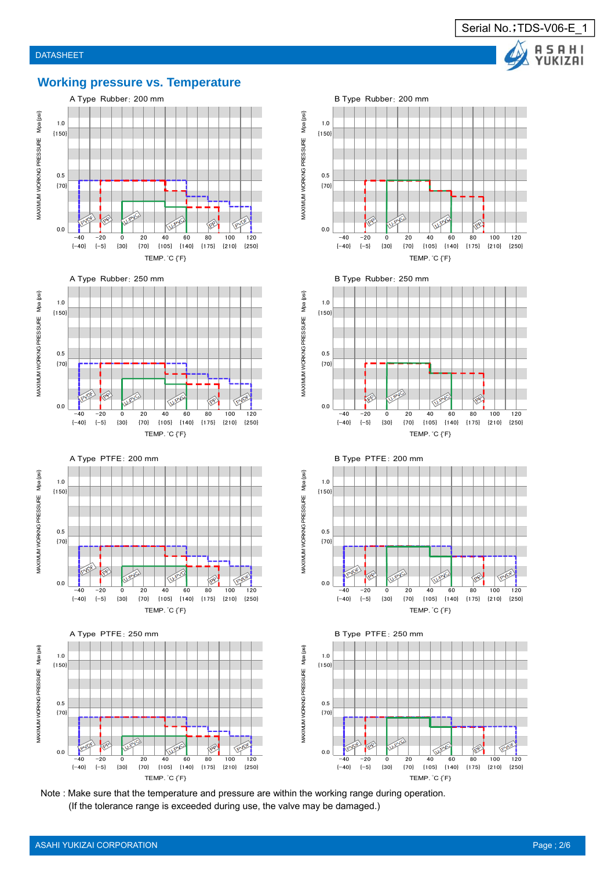

## **Working pressure vs. Temperature**













MAXIMUM WORKNG PRESSURE Mpa {psi}





Note : Make sure that the temperature and pressure are within the working range during operation. (If the tolerance range is exceeded during use, the valve may be damaged.)

MAXIMUM WORKNG PRESSURE Mpa {psi} MAXIMUM WORKNG PRESSURE Mpa {psi}

MAXIMUM WORKNG PRESSURE Mpa {psi} MAXIMUM WORKNG PRESSURE Mpa {psi}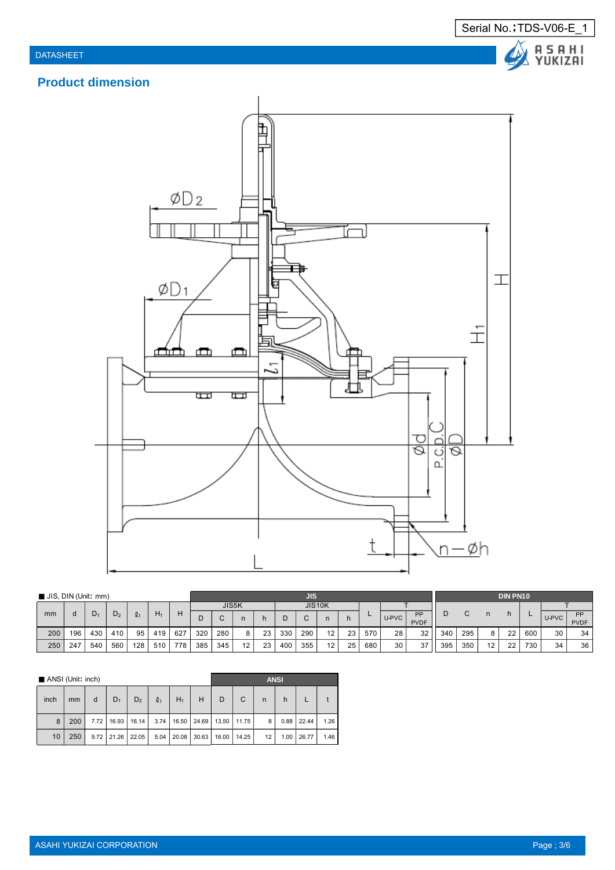Serial No.; TDS-V06-E\_1 A S A H I<br>YUKIZAI

Δ

## **Product dimension**



| JIS, DIN (Unit: mm) |     |     |     |     |       | JIS |     |     |       |    |     |     | <b>DIN PN10</b> |    |     |       |             |     |     |    |    |     |       |             |
|---------------------|-----|-----|-----|-----|-------|-----|-----|-----|-------|----|-----|-----|-----------------|----|-----|-------|-------------|-----|-----|----|----|-----|-------|-------------|
|                     |     |     |     |     |       |     |     |     | JIS5K |    |     |     | JIS10K          |    |     |       |             |     |     |    |    |     |       |             |
| mm                  |     | - س | -ت  |     | $H_1$ |     |     |     |       |    |     |     |                 |    |     | U-PVC | PP          |     |     |    | n  | -   | U-PVC | DD          |
|                     |     |     |     |     |       |     |     |     |       |    |     |     |                 |    |     |       | <b>PVDF</b> |     |     |    |    |     |       | <b>PVDF</b> |
| 200                 | 196 | 430 | 410 | 95  | 419   | 627 | 320 | 280 | 8     | 23 | 330 | 290 | $\overline{a}$  | 23 | 570 | 28    | 32          | 340 | 295 |    | 22 | 600 | 30    | 34          |
| 250                 | 247 | 540 | 560 | 128 | 510   | 778 | 385 | 345 | 12    | 23 | 400 | 355 |                 | 25 | 680 | 30    | 37          | 395 | 350 | 12 | 22 | 730 | 34    | 36          |

| ANSI (Unit: inch) |     |      |       |                |                |       |       |                               | <b>ANSI</b> |    |      |       |      |  |  |
|-------------------|-----|------|-------|----------------|----------------|-------|-------|-------------------------------|-------------|----|------|-------|------|--|--|
| inch              | mm  | d    | $D_1$ | D <sub>2</sub> | $\mathbf{Q}_1$ | $H_1$ | H     | D                             | C           | n  | h    |       |      |  |  |
| 8                 | 200 | 7.72 | 16.93 | 16.14          | 3.74           |       |       | 16.50   24.69   13.50   11.75 |             | 8  | 0.88 | 22.44 | 1.26 |  |  |
| 10 <sup>°</sup>   | 250 | 9.72 |       | 21.26 22.05    | 5.04           | 20.08 | 30.63 | 16.00                         | 14.25       | 12 | 1.00 | 26.77 | 1.46 |  |  |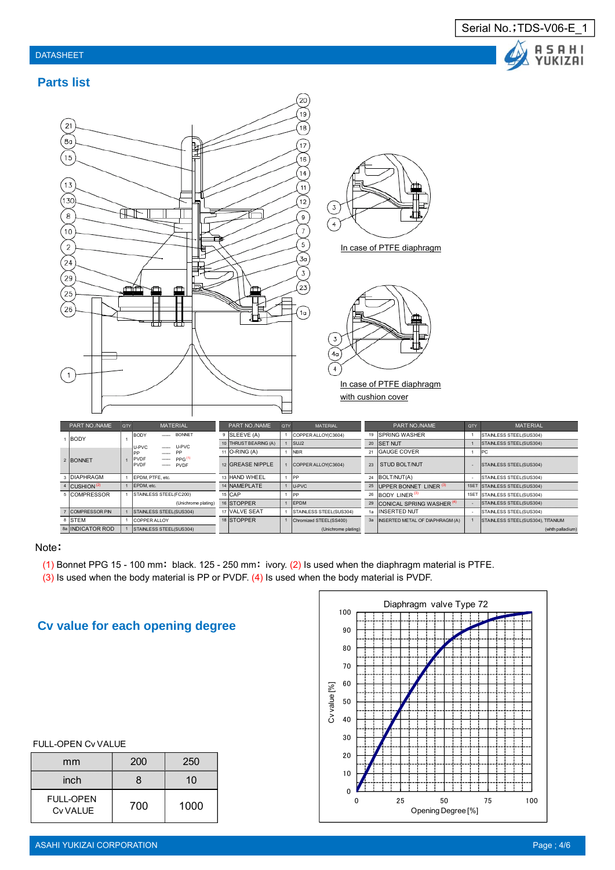#### DATASHEET



### **Parts list**



#### Note:

- (1) Bonnet PPG 15 100 mm: black. 125 250 mm: ivory. (2) Is used when the diaphragm material is PTFE.
- (3) Is used when the body material is PP or PVDF. (4) Is used when the body material is PVDF.

## **Cv value for each opening degree**

|  | <b>FULL-OPEN Cv VALUE</b> |
|--|---------------------------|
|--|---------------------------|

| mm                                  | 200 | 250  |
|-------------------------------------|-----|------|
| inch                                | 8   | 10   |
| <b>FULL-OPEN</b><br><b>Cv VALUE</b> | 700 | 1000 |

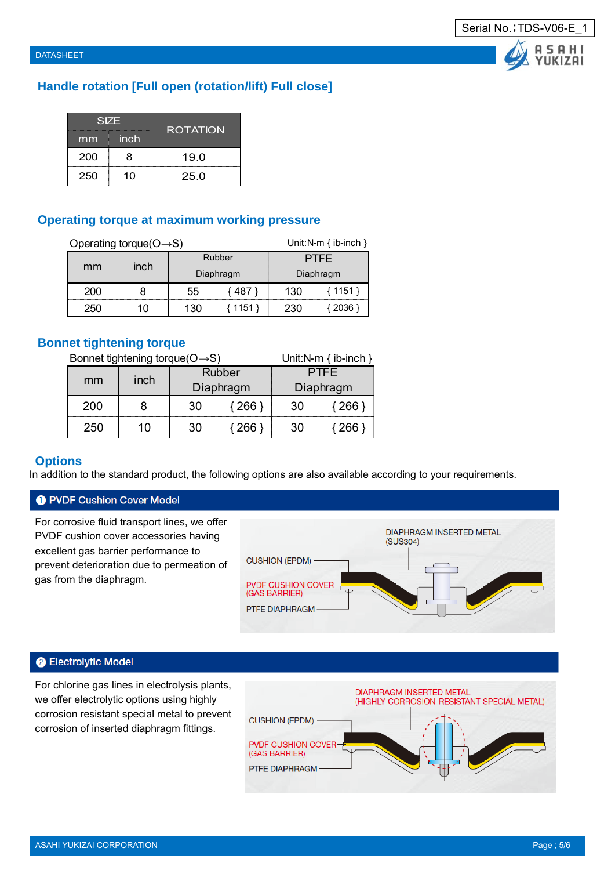**ASAHI** YUKIZAI

## **Handle rotation [Full open (rotation/lift) Full close]**

|     | <b>SIZE</b> | <b>ROTATION</b> |
|-----|-------------|-----------------|
| mm  | inch        |                 |
| 200 | 8           | 19.0            |
| 250 | 10          | 25.0            |

## **Operating torque at maximum working pressure**

|     | Operating torque( $O \rightarrow S$ ) |     | Unit: N-m $\{$ ib-inch $\}$ |             |          |  |  |  |
|-----|---------------------------------------|-----|-----------------------------|-------------|----------|--|--|--|
|     |                                       |     | Rubber                      | <b>PTFE</b> |          |  |  |  |
| mm  | inch                                  |     | Diaphragm                   | Diaphragm   |          |  |  |  |
| 200 | 8                                     | 55  | { 487 }                     | 130         | ${1151}$ |  |  |  |
| 250 | 10                                    | 130 | { 1151 }                    | 230         | { 2036 } |  |  |  |

## **Bonnet tightening torque**

Bonnet tightening torque( $O \rightarrow S$ ) Unit:N-m { ib-inch }

| mm  | inch |    | <b>Rubber</b> | PTFF. |                       |  |  |  |
|-----|------|----|---------------|-------|-----------------------|--|--|--|
|     |      |    | Diaphragm     |       | Diaphragm             |  |  |  |
| 200 |      | 30 | { 266 `       | 30    | $\langle 266 \rangle$ |  |  |  |
| 250 | 10.  | 30 | 266.          | 30    | 266                   |  |  |  |

## **Options**

In addition to the standard product, the following options are also available according to your requirements.

## **O** PVDF Cushion Cover Model

For corrosive fluid transport lines, we offer PVDF cushion cover accessories having excellent gas barrier performance to prevent deterioration due to permeation of gas from the diaphragm.



#### **@ Electrolytic Model**

For chlorine gas lines in electrolysis plants, we offer electrolytic options using highly corrosion resistant special metal to prevent corrosion of inserted diaphragm fittings.